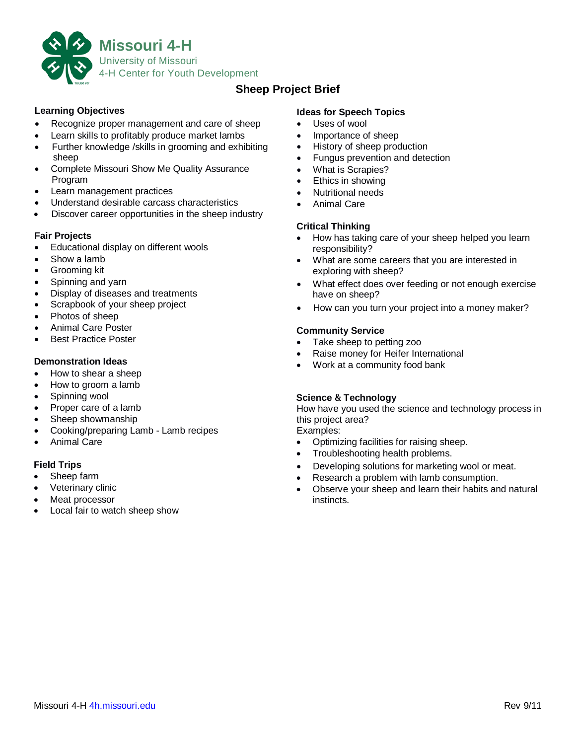

# **Sheep Project Brief**

### **Learning Objectives**

- Recognize proper management and care of sheep
- Learn skills to profitably produce market lambs
- Further knowledge /skills in grooming and exhibiting sheep
- Complete Missouri Show Me Quality Assurance Program
- Learn management practices
- Understand desirable carcass characteristics
- Discover career opportunities in the sheep industry

#### **Fair Projects**

- Educational display on different wools
- Show a lamb
- Grooming kit
- Spinning and yarn
- Display of diseases and treatments
- Scrapbook of your sheep project
- Photos of sheep
- Animal Care Poster
- Best Practice Poster

#### **Demonstration Ideas**

- How to shear a sheep
- How to groom a lamb
- Spinning wool
- Proper care of a lamb
- Sheep showmanship
- Cooking/preparing Lamb Lamb recipes
- Animal Care

### **Field Trips**

- Sheep farm
- Veterinary clinic
- Meat processor
- Local fair to watch sheep show

### **Ideas for Speech Topics**

- Uses of wool
- Importance of sheep
- History of sheep production
- Fungus prevention and detection
- What is Scrapies?
- Ethics in showing
- Nutritional needs
- Animal Care

### **Critical Thinking**

- How has taking care of your sheep helped you learn responsibility?
- What are some careers that you are interested in exploring with sheep?
- What effect does over feeding or not enough exercise have on sheep?
- How can you turn your project into a money maker?

### **Community Service**

- Take sheep to petting zoo
- Raise money for Heifer International
- Work at a community food bank

### **Science & Technology**

How have you used the science and technology process in this project area?

Examples:

- Optimizing facilities for raising sheep.
- Troubleshooting health problems.
- Developing solutions for marketing wool or meat.
- Research a problem with lamb consumption.
- Observe your sheep and learn their habits and natural instincts.